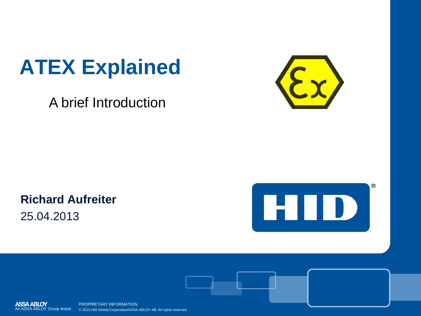# **ATEX Explained**

A brief Introduction



**Richard Aufreiter** 25.04.2013







PROPRIETARY INFORMATION. © 2013 HID Global Corporation/ASSA ABLOY AB. All rights reserved.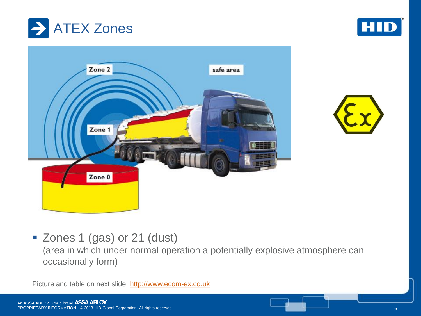







Zones 1 (gas) or 21 (dust)

(area in which under normal operation a potentially explosive atmosphere can occasionally form)

Picture and table on next slide: [http://www.ecom-ex.co.uk](http://www.ecom-ex.co.uk/)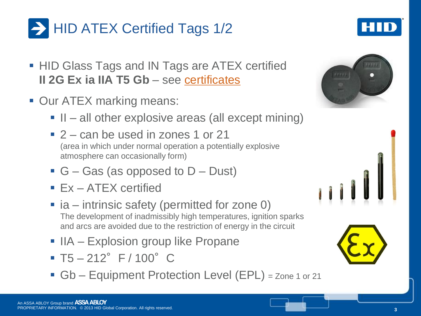

## **HID ATEX Certified Tags 1/2**

- **HID Glass Tags and IN Tags are ATEX certified II 2G Ex ia IIA T5 Gb** – see [certificates](http://www.hidglobal.com/page.php?page_id=18)
- **Our ATEX marking means:** 
	- II all other explosive areas (all except mining)
	- 2 can be used in zones 1 or 21 (area in which under normal operation a potentially explosive atmosphere can occasionally form)
	- G Gas (as opposed to  $D$  Dust)
	- **Ex-ATEX certified**
	- $\blacksquare$  ia intrinsic safety (permitted for zone 0) The development of inadmissibly high temperatures, ignition sparks and arcs are avoided due to the restriction of energy in the circuit
	- $\blacksquare$  IIA Explosion group like Propane
	- $\blacksquare$  T5 212° F / 100° C
	- Gb Equipment Protection Level (EPL) = Zone 1 or 21





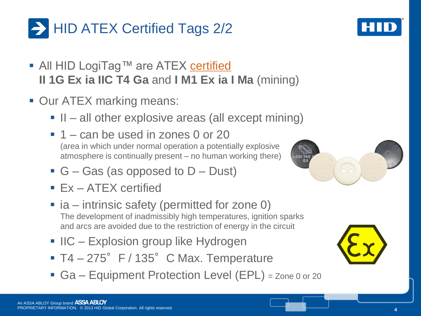#### **EX Certified Tags 2/2**

- All HID LogiTag™ are ATEX [certified](http://www.hidglobal.com/page.php?page_id=18) **II 1G Ex ia IIC T4 Ga** and **I M1 Ex ia I Ma** (mining)
- **Our ATEX marking means:** 
	- II all other explosive areas (all except mining)
	- $\blacksquare$  1 can be used in zones 0 or 20 (area in which under normal operation a potentially explosive atmosphere is continually present – no human working there)
	- G Gas (as opposed to  $D$  Dust)
	- **Ex ATEX certified**
	- $\blacksquare$  ia intrinsic safety (permitted for zone 0) The development of inadmissibly high temperatures, ignition sparks and arcs are avoided due to the restriction of energy in the circuit
	- **IIC Explosion group like Hydrogen**
	- $T4 275$ °F / 135°C Max. Temperature
	- Ga Equipment Protection Level (EPL) = Zone 0 or 20





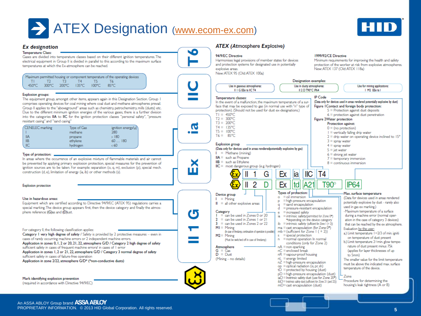### **ATEX Designation** [\(www.ecom-ex.com](http://www.ecom-ex.com/))



#### **ATEX (Atmosphere Explosive) Ex designation** o **Temperature Class:** 1999/97/CE Directive 94/9/EC Directive Gases are divided into temperature classes based on their different ignition temperatures. The Harmonises legal provisions of member states for devices Minimum requirements for improving the health and safety electrical equipment in Group II is divided in parallel to this according to the maximum surface and protection systems for designated use in potentially protection of the worker at risk from explosive atmospheres. temperatures at which the Ex-atmosphere can be reached. New: ATEX 137 (Old: ATEX 118a) explosive areas. New ATEX 95 (Old ATEX 100a) Maximum permitted housing or component temperature of the operating devices Designation examples:  $T2$  $T3$  $T4$  $T5$ TI. T4 450°C 300°C 200°C 135°C 100°C 85°C Use In dusty atmospheres: Use in gaseous atmospheres: Use for mining applications: ILL G FFx to IIC T4 II 2 D T90°C IP64 I M2 FFx tail **Explosion groups: IP** Code Temperature classes: The equipment group, amongst other items, appears again in this Designation Section. Group 1 In the event of a malfunction, the maximum temperature of a sur-(Data only for devices used in areas rendered potentially explosive by dust) comprises operating devices for coal mining where coal dust and methane atmospheres prevail. face that may be exposed to gas (in normal use with "n" type of Figure I Contact and foreign body protection: Group II applies to the "aboveground" areas such as chemistry, petrochemistry, mills (dusts) etc. protection). (Should not be used for dust ex-designations.)  $5$  = Protection against dust deposits Due to the different minimum ignition energies of the various gases, there is a further division  $T = 450^{\circ}$ C  $6$  = protection against dust penetration into the categories IIA to IIC for the ignition protection classes "personal safety", "pressure  $T2 = 300^{\circ}$ C Figure 2Water protection resistant casing" and "sand casing"  $T3 = 200^{\circ}$ C Protection against: ര  $T4 = 135^{\circ}$ C CENELEC marking Type of Gas ignition energy/u  $0 = (no protection)$  $TS = 100^{\circ}C$ methane 280  $\bullet$   $\blacksquare$  $I =$  vertically falling drip water  $T6 = 85^{\circ}$ C  $2 =$  drip water on operating device inclined to  $15^{\circ}$ **IIA**  $>180$ propane  $\mathsf{IB}$  $60...180$  $3 =$  spray water ethylene **Explosion group**  $<sub>II</sub>$ </sub> hydrogen  $660$  $4 =$  spray water (Data only for devices used in areas renderedpotentially explosive by gas)  $5 =$ iet water  $I = Methane (minine)$  $6$  = strong jet water Type of protection:  $\mathsf{IIA} = \mathsf{sub}$  as Propane  $7 =$  temporary immersion In areas where the occurrence of an explosive mixture of flammable materials and air cannot  $\mathsf{IIB} = \mathsf{sub}$  as Ethylene be prevented by applying primary explosion protection, special measures for the prevention of  $8 =$  continuous immersion  $\textsf{IIC} = \textsf{most dangerous group}$  (e.g. hydrogen) ignition sources are to be taken. For example: separation (o, q, m), exclusion (p), special mech. construction (d, e), limitation of energy (ia, ib) or other methods (s).  $<sup>II</sup>$ </sup> T4 lia G Εx **IP64**  $\mathcal{P}$ D Ex **Itdl** A2  $T90^\circ$ **Explosion protection** Types of protection: Max, surface temperature Device group  $o = oil$  immersion (Data for devices used in areas rendered  $I = Mining$ Use in hazardous areas: = high-pressure encapsulation  $\mathbf{D}$ potentially explosive by dust - rarely also Equipment which are certified according to Directive 94/9/EC (ATEX 95) regulations carries a  $\| \cdot \|$  = all other explosive areas  $=$  sand encapsulation  $\sigma$ used in gas ex marking.) special marking. The device group appears first, then the device category and finally the atmos- $=$  pressure-resistant encapsulation Maximum temperature of a surface phere reference: (G)as and (D)ust. Category  $=$  increased safety e  $=$  can be used in Zones 0 or 20 during a machine error (normal oper-= intrinsic\_safety(permitted for Zone 0\*) ia.  $2 =$  can be used in Zones 1 or 21 "depending on the device category ation in the case of category 3 devices)  $3 =$  can be used in Zones 2 or 22  $\mathbf{b} = \mathbf{intrinsic}$  safety (sufficient for Zone  $1 (+ 2))$ that can be reached by the ex atmosphere.  $MI =$  Mining  $ma = cast$  encapsulation (for Zone  $0^{\circ}$ ) Evaluation by the user: For category II, the following classification applies:  $mb = (sufficient for Zone 1 (+ 2))$ (In case of fredamp, continuation of operation is possible) a.) Limit temperature 1=2/3 of min. igniti Category 1 very high degree of safety / Safety is provided by 2 protective measures - even in  $M2 =$  Mining  $s =$ special protection on temperature of dust present cases of rarely occurring machine errors or 2 independent machine errors.  $n = normal operation$  In normal (Must be switched off in case of firedamp) b.) Limit temperature 2=min. glow tempeconditions (only for Zone 2) Application in zones 0, 1, 2 or 20, 21, 22, atmosphere G/D / Category 2 high degree of safety rature of dust present minus 75k  $nA = non-sparking$ sufficient safety in cases of frequent machine errors/ in cases of 1 error Atmosphere (applies for layer thicknesses of up  $G = \hat{G}$ as  $nC$  = enclosed break Application in zones 1, 2 or 21, 22, atmosphere G/D / Category 3 normal degree of safety  $D = Dust$  $nR =$ vapour-proof housing to 5mm) sufficient safety in cases of failure-free operation (Mining - no details)  $nL$  = energy limited The smaller value for the limit temperature Application in zone 2/22, atmosphere G/D\* (\*non-conductive dusts)  $nZ = high-pressure encapsulation$ must be above the indicated max surface op = optical radiation (is, pr, sh) temperature of the device.  $t\dot{\mathbf{D}}$  = protected by housing (dust)  $pD = h$ igh-pressure encapsulation (dust) **Zone** iaD = Instrinsic safety dust (use for Zone 20\*) Mark identifying explosion prevention Procedure for determining the  $\overline{1}$ b $D$  = Instrinsic safety dust (sufficient for Zone 21 (and 22)) (required in accordance with Directive 94/9/EC) housing's leak tightness (A or B) mD=cast encapsulation (dust)

#### An ASSA ABLOY Group brand ASSA ABLOY PROPRIETARY INFORMATION. © 2013 HID Global Corporation. All rights reserved. **56 1999 CORPORTARY INFORMATION.** © 2013 HID Global Corporation. All rights reserved.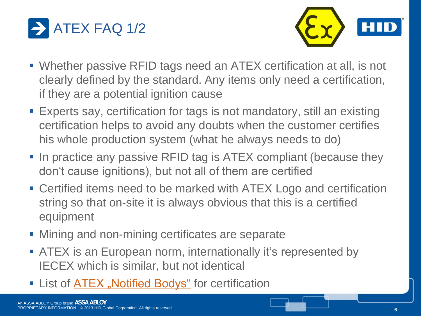



- Whether passive RFID tags need an ATEX certification at all, is not clearly defined by the standard. Any items only need a certification, if they are a potential ignition cause
- Experts say, certification for tags is not mandatory, still an existing certification helps to avoid any doubts when the customer certifies his whole production system (what he always needs to do)
- In practice any passive RFID tag is ATEX compliant (because they don't cause ignitions), but not all of them are certified
- Certified items need to be marked with ATEX Logo and certification string so that on-site it is always obvious that this is a certified equipment
- **Mining and non-mining certificates are separate**
- **ATEX** is an European norm, internationally it's represented by IECEX which is similar, but not identical
- **EX** List of **ATEX** "Notified Bodys" for certification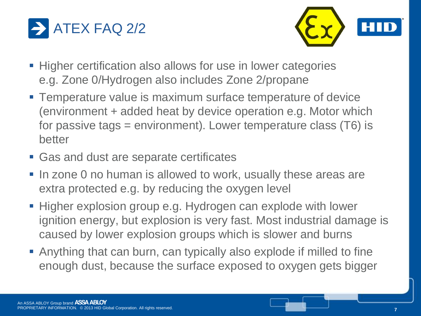



- Higher certification also allows for use in lower categories e.g. Zone 0/Hydrogen also includes Zone 2/propane
- **Temperature value is maximum surface temperature of device** (environment + added heat by device operation e.g. Motor which for passive tags = environment). Lower temperature class (T6) is better
- Gas and dust are separate certificates
- In zone 0 no human is allowed to work, usually these areas are extra protected e.g. by reducing the oxygen level
- **Higher explosion group e.g. Hydrogen can explode with lower** ignition energy, but explosion is very fast. Most industrial damage is caused by lower explosion groups which is slower and burns
- Anything that can burn, can typically also explode if milled to fine enough dust, because the surface exposed to oxygen gets bigger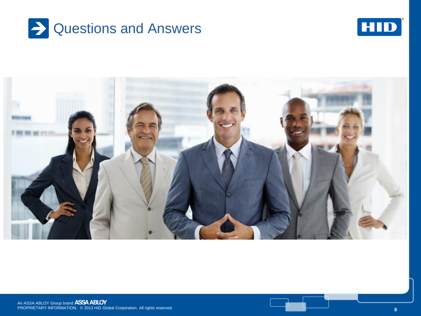